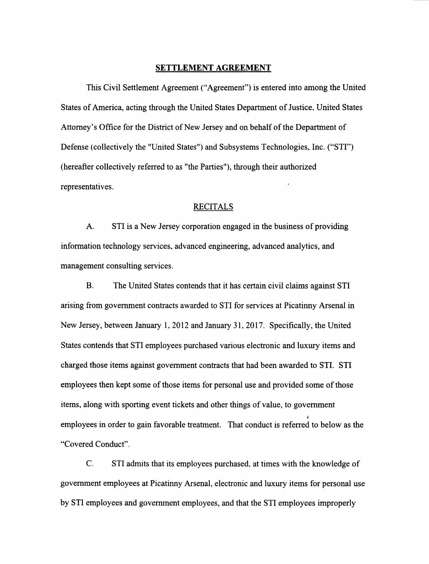#### **SETTLEMENT AGREEMENT**

This Civil Settlement Agreement ("Agreement") is entered into among the United States of America, acting through the United States Department of Justice, United States Attorney's Office for the District of New Jersey and on behalf of the Department of Defense (collectively the "United States") and Subsystems Technologies, Inc. ("STI") (hereafter collectively referred to as "the Parties"), through their authorized representatives.

#### RECITALS

A. STI is a New Jersey corporation engaged in the business of providing information technology services, advanced engineering, advanced analytics, and management consulting services.

**B.** The United States contends that it has certain civil claims against STI arising from government contracts awarded to STI for services at Picatinny Arsenal in New Jersey, between January 1, 2012 and January 31, 2017. Specifically, the United States contends that STI employees purchased various electronic and luxury items and charged those items against government contracts that had been awarded to STI. STI employees then kept some of those items for personal use and provided some of those items, along with sporting event tickets and other things of value, to government employees in order to gain favorable treatment. That conduct is referred to below as the "Covered Conduct".

C. STI admits that its employees purchased, at times with the knowledge of government employees at Picatinny Arsenal, electronic and luxury items for personal use by STI employees and government employees, and that the STI employees improperly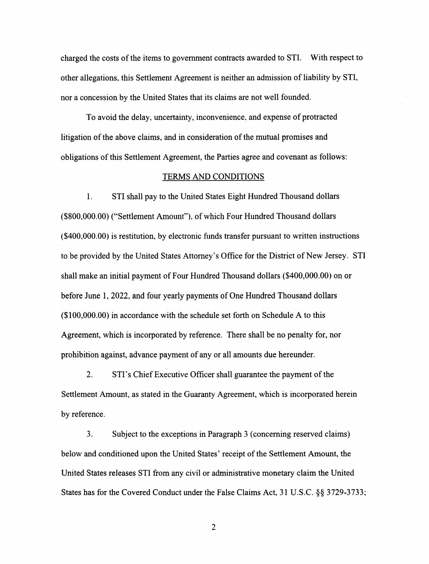charged the costs of the items to government contracts awarded to STI. With respect to other allegations. this Settlement Agreement is neither an admission of liability by STI, nor a concession by the United States that its claims are not well founded.

To avoid the delay. uncertainty, inconvenience, and expense of protracted litigation of the above claims, and in consideration of the mutual promises and obligations of this Settlement Agreement, the Parties agree and covenant as follows:

#### TERMS AND CONDITIONS

1. STI shall pay to the United States Eight Hundred Thousand dollars (\$800,000.00) ("Settlement Amount"), of which Four Hundred Thousand dollars (\$400,000.00) is restitution, by electronic funds transfer pursuant to written instructions to be provided by the United States Attorney's Office for the District of New Jersey. STI shall make an initial payment of Four Hundred Thousand dollars (\$400,000.00) on or before June 1, 2022, and four yearly payments of One Hundred Thousand dollars (\$100,000.00) in accordance with the schedule set forth on Schedule A to this Agreement, which is incorporated by reference. There shall be no penalty for, nor prohibition against, advance payment of any or all amounts due hereunder.

2. STI's Chief Executive Officer shall guarantee the payment of the Settlement Amount, as stated in the Guaranty Agreement, which is incorporated herein by reference.

3. Subject to the exceptions in Paragraph 3 (concerning reserved claims) below and conditioned upon the United States' receipt of the Settlement Amount, the United States releases STI from any civil or administrative monetary claim the United States has for the Covered Conduct under the False Claims Act, 31 U.S.C. §§ 3729-3733;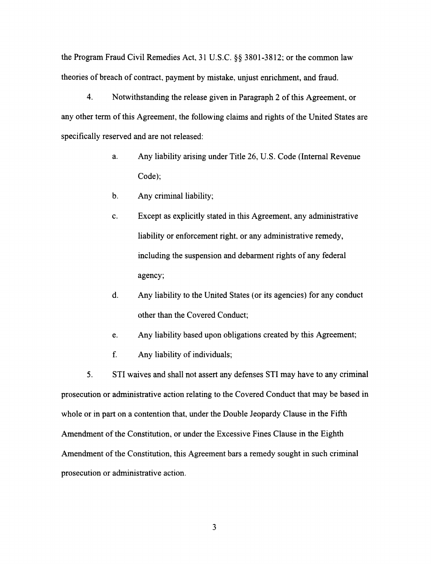the Program Fraud Civil Remedies Act, 31 U.S.C. §§ 3801-3812; or the common law theories of breach of contract, payment by mistake, unjust enrichment, and fraud.

4. Notwithstanding the release given in Paragraph 2 of this Agreement, or any other term of this Agreement, the following claims and rights of the United States are specifically reserved and are not released:

- a. Any liability arising under Title 26, U.S. Code (Internal Revenue Code);
- b. Any criminal liability;
- c. Except as explicitly stated in this Agreement, any administrative liability or enforcement right. or any administrative remedy, including the suspension and debarment rights of any federal agency;
- d. Any liability to the United States (or its agencies) for any conduct other than the Covered Conduct;
- e. Any liability based upon obligations created by this Agreement;
- f. Any liability of individuals;

5. STI waives and shall not assert any defenses STI may have to any criminal prosecution or administrative action relating to the Covered Conduct that may be based in whole or in part on a contention that, under the Double Jeopardy Clause in the Fifth Amendment of the Constitution, or under the Excessive Fines Clause in the Eighth Amendment of the Constitution, this Agreement bars a remedy sought in such criminal prosecution or administrative action.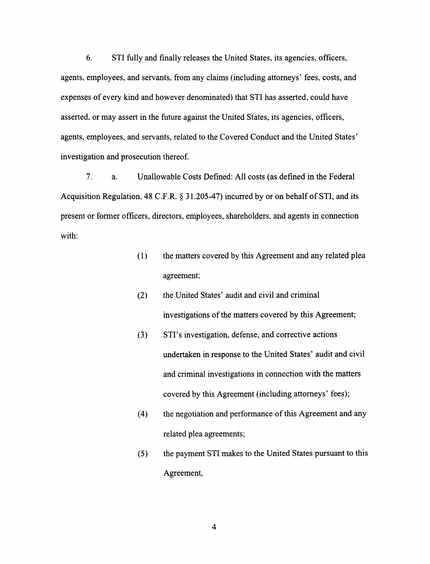6. STI fully and finally releases the United States, its agencies. officers, agents, employees, and servants, from any claims (including attorneys' fees, costs, and expenses of every kind and however denominated) that STI has asserted. could have asserted, or may assert in the future against the United States, its agencies, officers, agents, employees, and servants, related to the Covered Conduct and the United States' investigation and prosecution thereof.

7. a. Unallowable Costs Defined: All costs (as defined in the Federal Acquisition Regulation. 48 C.F.R. § 31.205-47) incurred by or on behalf of STI, and its present or former officers, directors, employees, shareholders, and agents in connection with:

- ( 1) the matters covered by this Agreement and any related plea agreement;
- (2) the United States' audit and civil and criminal investigations of the matters covered by this Agreement;
- (3) STI's investigation, defense, and corrective actions undertaken in response to the United States' audit and civil and criminal investigations in connection with the matters covered by this Agreement (including attorneys' fees);
- (4) the negotiation and performance of this Agreement and any related plea agreements;
- (5) the payment STI makes to the United States pursuant to this Agreement,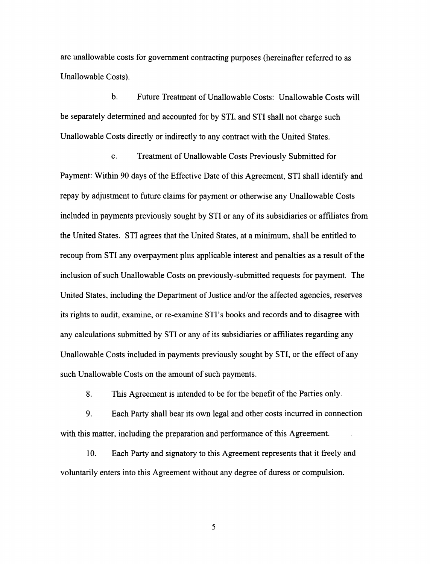are unallowable costs for government contracting purposes (hereinafter referred to as Unallowable Costs).

b. Future Treatment of Unallowable Costs: Unallowable Costs will be separately determined and accounted for by STI, and STI shall not charge such Unallowable Costs directly or indirectly to any contract with the United States.

c. Treatment of Unallowable Costs Previously Submitted for Payment: Within 90 days of the Effective Date of this Agreement, STI shall identify and repay by adjustment to future claims for payment or otherwise any Unallowable Costs included in payments previously sought by STI or any of its subsidiaries or affiliates from the United States. STI agrees that the United States, at a minimum, shall be entitled to recoup from STI any overpayment plus applicable interest and penalties as a result of the inclusion of such Unallowable Costs on previously-submitted requests for payment. The United States, including the Department of Justice and/or the affected agencies, reserves its rights to audit, examine, or re-examine STI's books and records and to disagree with any calculations submitted by STI or any of its subsidiaries or affiliates regarding any Unallowable Costs included in payments previously sought by STI, or the effect of any such Unallowable Costs on the amount of such payments.

8. This Agreement is intended to be for the benefit of the Parties only.

9. Each Party shall bear its own legal and other costs incurred in connection with this matter, including the preparation and performance of this Agreement.

10. Each Party and signatory to this Agreement represents that it freely and voluntarily enters into this Agreement without any degree of duress or compulsion.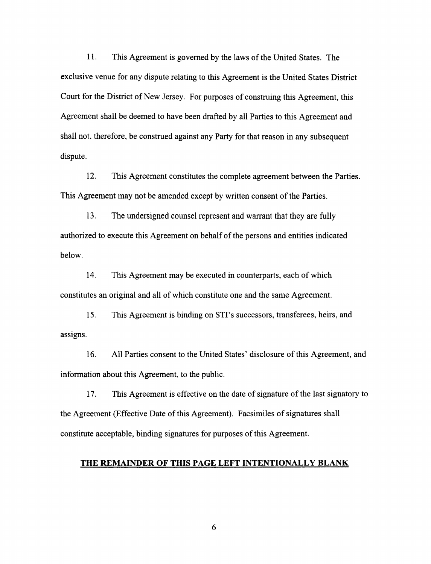11. This Agreement is governed by the laws of the United States. The exclusive venue for any dispute relating to this Agreement is the United States District Court for the District of New Jersey. For purposes of construing this Agreement, this Agreement shall be deemed to have been drafted by all Parties to this Agreement and shall not, therefore, be construed against any Party for that reason in any subsequent dispute.

12. This Agreement constitutes the complete agreement between the Parties. This Agreement may not be amended except by written consent of the Parties.

13. The undersigned counsel represent and warrant that they are fully authorized to execute this Agreement on behalf of the persons and entities indicated below.

14. This Agreement may be executed in counterparts, each of which constitutes an original and all of which constitute one and the same Agreement.

15. This Agreement is binding on STI's successors, transferees, heirs, and assigns.

16. All Parties consent to the United States' disclosure of this Agreement, and information about this Agreement, to the public.

17. This Agreement is effective on the date of signature of the last signatory to the Agreement (Effective Date of this Agreement). Facsimiles of signatures shall constitute acceptable, binding signatures for purposes of this Agreement.

### **THE REMAINDER OF THIS PAGE LEFT INTENTIONALLY BLANK**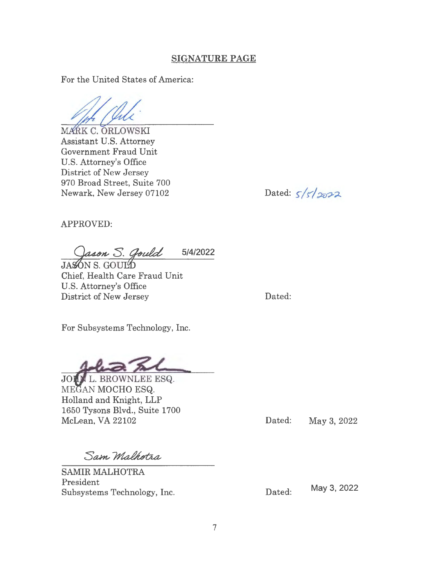### **SIGNATURE PAGE**

For the United States of America:

MARK C. ORLOWSKI Assistant U.S. Attorney Government Fraud Unit U.S. Attorney's Office District of New Jersey 970 Broad Street, Suite 700 Newark, New Jersey 07102

Dated:  $5/5/2022$ 

APPROVED:

Jason S. Gould **5/4/2022** 

Jason S. Go<br>JASON S. GOULD Chief, Health Care Fraud Unit U.S. Attorney's Office District of New Jersey

Dated:

For Subsystems Technology, Inc.

JOIN L. BROWNLEE ESQ. MEGAN MOCHO ESQ. Holland and Knight, LLP 1650 Tysons Blvd., Suite 1700 McLean, VA 22102

Dated: May 3, 2022

Sam Malhotra

SAMIR MALHOTRA President Subsystems Technology, Inc.

Dated: May 3, 2022